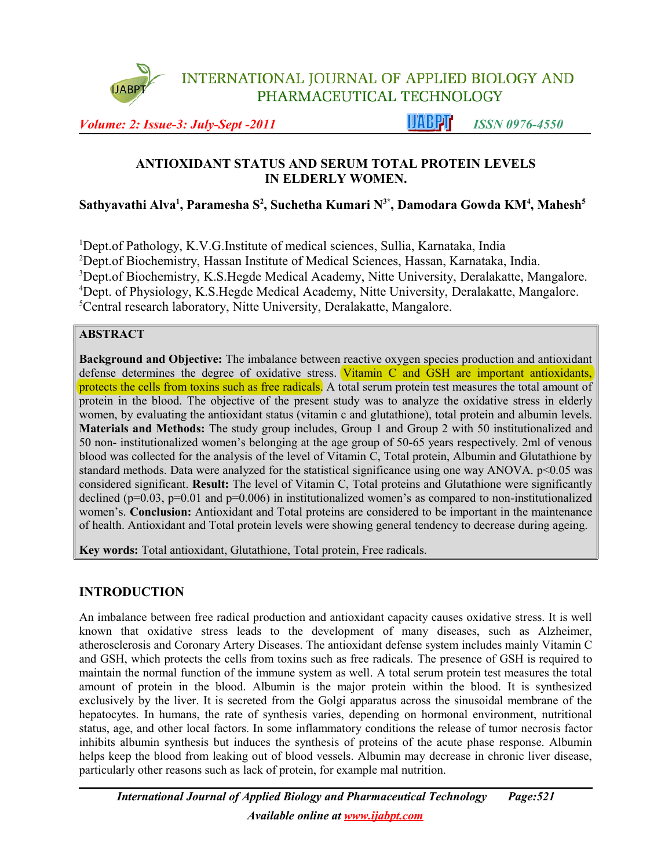

INTERNATIONAL JOURNAL OF APPLIED BIOLOGY AND PHARMACEUTICAL TECHNOLOGY

*Volume: 2: Issue-3: July-Sept -2011* **ISSN 0976-4550** 

## **ANTIOXIDANT STATUS AND SERUM TOTAL PROTEIN LEVELS IN ELDERLY WOMEN.**

**Sathyavathi Alva<sup>1</sup> , Paramesha S<sup>2</sup> , Suchetha Kumari N3\*, Damodara Gowda KM<sup>4</sup> , Mahesh<sup>5</sup>**

Dept.of Pathology, K.V.G.Institute of medical sciences, Sullia, Karnataka, India Dept.of Biochemistry, Hassan Institute of Medical Sciences, Hassan, Karnataka, India. Dept.of Biochemistry, K.S.Hegde Medical Academy, Nitte University, Deralakatte, Mangalore. Dept. of Physiology, K.S.Hegde Medical Academy, Nitte University, Deralakatte, Mangalore. Central research laboratory, Nitte University, Deralakatte, Mangalore.

## **ABSTRACT**

**Background and Objective:** The imbalance between reactive oxygen species production and antioxidant defense determines the degree of oxidative stress. Vitamin C and GSH are important antioxidants, protects the cells from toxins such as free radicals. A total serum protein test measures the total amount of protein in the blood. The objective of the present study was to analyze the oxidative stress in elderly women, by evaluating the antioxidant status (vitamin c and glutathione), total protein and albumin levels. **Materials and Methods:** The study group includes, Group 1 and Group 2 with 50 institutionalized and 50 non- institutionalized women's belonging at the age group of 50-65 years respectively. 2ml of venous blood was collected for the analysis of the level of Vitamin C, Total protein, Albumin and Glutathione by standard methods. Data were analyzed for the statistical significance using one way ANOVA. p<0.05 was considered significant. **Result:** The level of Vitamin C, Total proteins and Glutathione were significantly declined ( $p=0.03$ ,  $p=0.01$  and  $p=0.006$ ) in institutionalized women's as compared to non-institutionalized women's. **Conclusion:** Antioxidant and Total proteins are considered to be important in the maintenance of health. Antioxidant and Total protein levels were showing general tendency to decrease during ageing.

**Key words:** Total antioxidant, Glutathione, Total protein, Free radicals.

# **INTRODUCTION**

An imbalance between free radical production and antioxidant capacity causes oxidative stress. It is well known that oxidative stress leads to the development of many diseases, such as Alzheimer, atherosclerosis and Coronary Artery Diseases. The antioxidant defense system includes mainly Vitamin C and GSH, which protects the cells from toxins such as free radicals. The presence of GSH is required to maintain the normal function of the immune system as well. A total serum protein test measures the total amount of protein in the blood. Albumin is the major protein within the blood. It is synthesized exclusively by the liver. It is secreted from the Golgi apparatus across the sinusoidal membrane of the hepatocytes. In humans, the rate of synthesis varies, depending on hormonal environment, nutritional status, age, and other local factors. In some inflammatory conditions the release of tumor necrosis factor inhibits albumin synthesis but induces the synthesis of proteins of the acute phase response. Albumin helps keep the blood from leaking out of blood vessels. Albumin may decrease in chronic liver disease, particularly other reasons such as lack of protein, for example mal nutrition.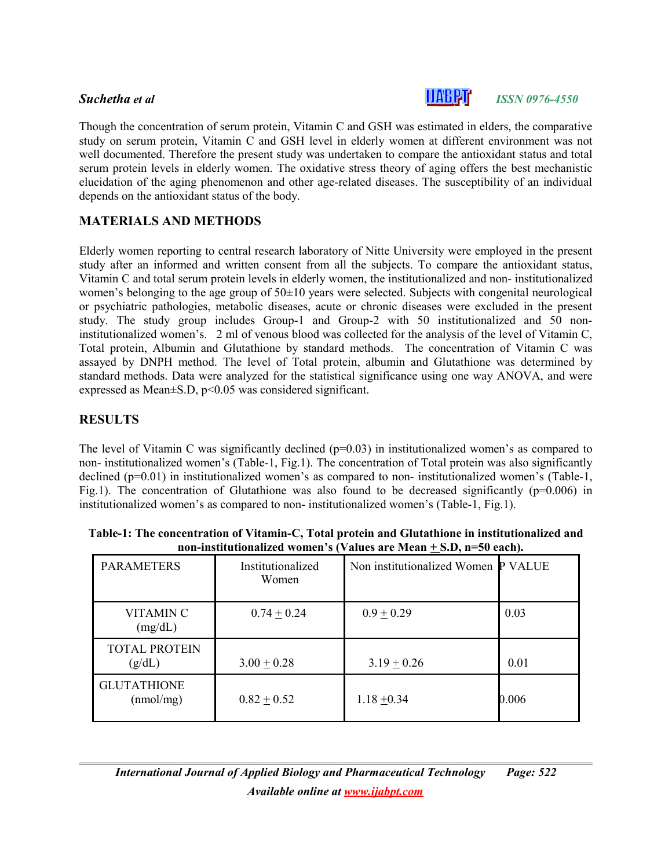

# **Suchetha** *et al ISSN 0976-4550*

Though the concentration of serum protein, Vitamin C and GSH was estimated in elders, the comparative study on serum protein, Vitamin C and GSH level in elderly women at different environment was not well documented. Therefore the present study was undertaken to compare the antioxidant status and total serum protein levels in elderly women. The oxidative stress theory of aging offers the best mechanistic elucidation of the aging phenomenon and other age-related diseases. The susceptibility of an individual depends on the antioxidant status of the body.

## **MATERIALS AND METHODS**

Elderly women reporting to central research laboratory of Nitte University were employed in the present study after an informed and written consent from all the subjects. To compare the antioxidant status, Vitamin C and total serum protein levels in elderly women, the institutionalized and non- institutionalized women's belonging to the age group of 50±10 years were selected. Subjects with congenital neurological or psychiatric pathologies, metabolic diseases, acute or chronic diseases were excluded in the present study. The study group includes Group-1 and Group-2 with 50 institutionalized and 50 noninstitutionalized women's. 2 ml of venous blood was collected for the analysis of the level of Vitamin C, Total protein, Albumin and Glutathione by standard methods. The concentration of Vitamin C was assayed by DNPH method. The level of Total protein, albumin and Glutathione was determined by standard methods. Data were analyzed for the statistical significance using one way ANOVA, and were expressed as Mean $\pm$ S.D, p<0.05 was considered significant.

### **RESULTS**

The level of Vitamin C was significantly declined  $(p=0.03)$  in institutionalized women's as compared to non- institutionalized women's (Table-1, Fig.1). The concentration of Total protein was also significantly declined (p=0.01) in institutionalized women's as compared to non- institutionalized women's (Table-1, Fig.1). The concentration of Glutathione was also found to be decreased significantly ( $p=0.006$ ) in institutionalized women's as compared to non- institutionalized women's (Table-1, Fig.1).

| <b>PARAMETERS</b>               | Institutionalized<br>Women | Non institutionalized Women P VALUE |       |
|---------------------------------|----------------------------|-------------------------------------|-------|
| VITAMIN C<br>(mg/dL)            | $0.74 \pm 0.24$            | $0.9 \pm 0.29$                      | 0.03  |
| <b>TOTAL PROTEIN</b><br>(g/dL)  | $3.00 + 0.28$              | $3.19 + 0.26$                       | 0.01  |
| <b>GLUTATHIONE</b><br>(mmol/mg) | $0.82 + 0.52$              | $1.18 \pm 0.34$                     | 0.006 |

**Table-1: The concentration of Vitamin-C, Total protein and Glutathione in institutionalized and non-institutionalized women's (Values are Mean + S.D, n=50 each).**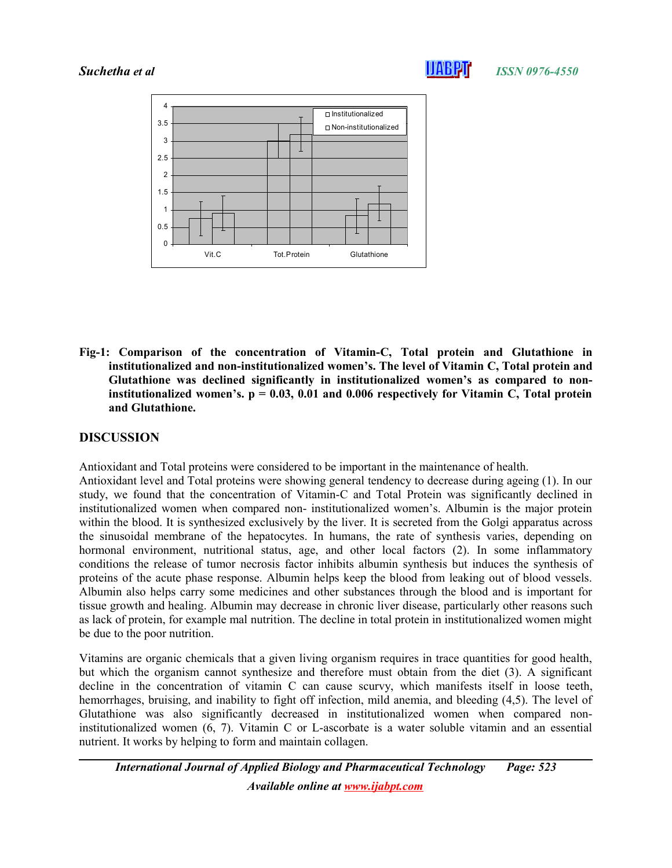

#### **Suchetha** *et al ISSN 0976-4550*



**Fig-1: Comparison of the concentration of Vitamin-C, Total protein and Glutathione in institutionalized and non-institutionalized women's. The level of Vitamin C, Total protein and Glutathione was declined significantly in institutionalized women's as compared to noninstitutionalized women's. p = 0.03, 0.01 and 0.006 respectively for Vitamin C, Total protein and Glutathione.** 

## **DISCUSSION**

Antioxidant and Total proteins were considered to be important in the maintenance of health.

Antioxidant level and Total proteins were showing general tendency to decrease during ageing (1). In our study, we found that the concentration of Vitamin-C and Total Protein was significantly declined in institutionalized women when compared non- institutionalized women's. Albumin is the major protein within the blood. It is synthesized exclusively by the liver. It is secreted from the Golgi apparatus across the sinusoidal membrane of the hepatocytes. In humans, the rate of synthesis varies, depending on hormonal environment, nutritional status, age, and other local factors (2). In some inflammatory conditions the release of tumor necrosis factor inhibits albumin synthesis but induces the synthesis of proteins of the acute phase response. Albumin helps keep the blood from leaking out of blood vessels. Albumin also helps carry some medicines and other substances through the blood and is important for tissue growth and healing. Albumin may decrease in chronic liver disease, particularly other reasons such as lack of protein, for example mal nutrition. The decline in total protein in institutionalized women might be due to the poor nutrition.

Vitamins are organic chemicals that a given living organism requires in trace quantities for good health, but which the organism cannot synthesize and therefore must obtain from the diet (3). A significant decline in the concentration of vitamin C can cause scurvy, which manifests itself in loose teeth, hemorrhages, bruising, and inability to fight off infection, mild anemia, and bleeding (4,5). The level of Glutathione was also significantly decreased in institutionalized women when compared noninstitutionalized women (6, 7). Vitamin C or L-ascorbate is a water soluble vitamin and an essential nutrient. It works by helping to form and maintain collagen.